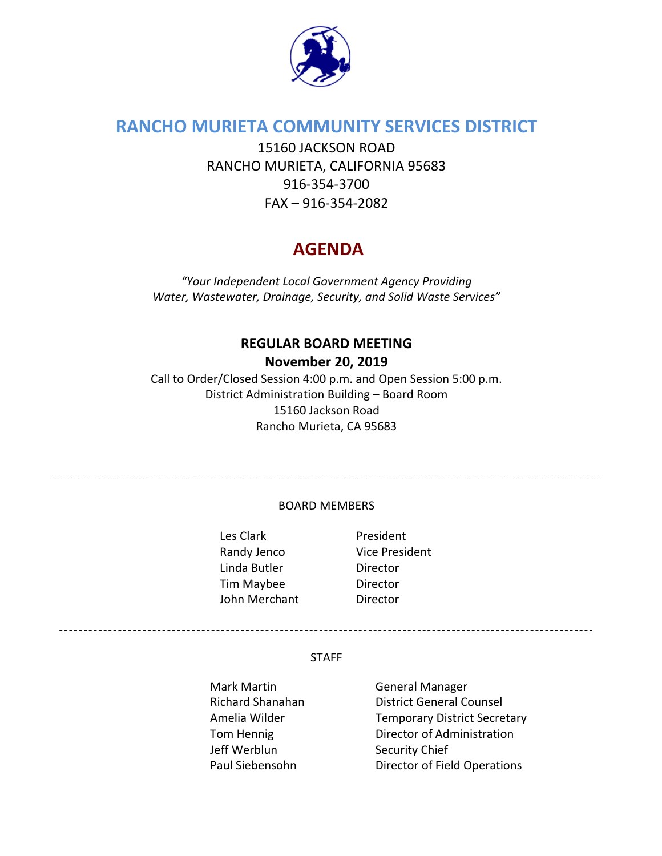

# **RANCHO MURIETA COMMUNITY SERVICES DISTRICT**

15160 JACKSON ROAD RANCHO MURIETA, CALIFORNIA 95683 916‐354‐3700 FAX – 916‐354‐2082

# **AGENDA**

*"Your Independent Local Government Agency Providing Water, Wastewater, Drainage, Security, and Solid Waste Services"*

# **REGULAR BOARD MEETING**

## **November 20, 2019**

Call to Order/Closed Session 4:00 p.m. and Open Session 5:00 p.m. District Administration Building – Board Room 15160 Jackson Road Rancho Murieta, CA 95683

#### BOARD MEMBERS

Les Clark **and President** Randy Jenco Vice President Linda Butler **Director** Tim Maybee Director John Merchant **Director** 

\_\_\_\_\_\_\_\_\_\_\_\_\_\_\_\_\_\_\_\_\_\_\_\_\_\_\_\_\_\_\_\_\_\_\_

#### STAFF

Mark Martin **Carlo Accept Manager** General Manager Jeff Werblun Security Chief

Richard Shanahan District General Counsel Amelia Wilder Temporary District Secretary Tom Hennig **Director of Administration** Paul Siebensohn Director of Field Operations

-------------------------------------------------------------------------------------------------------------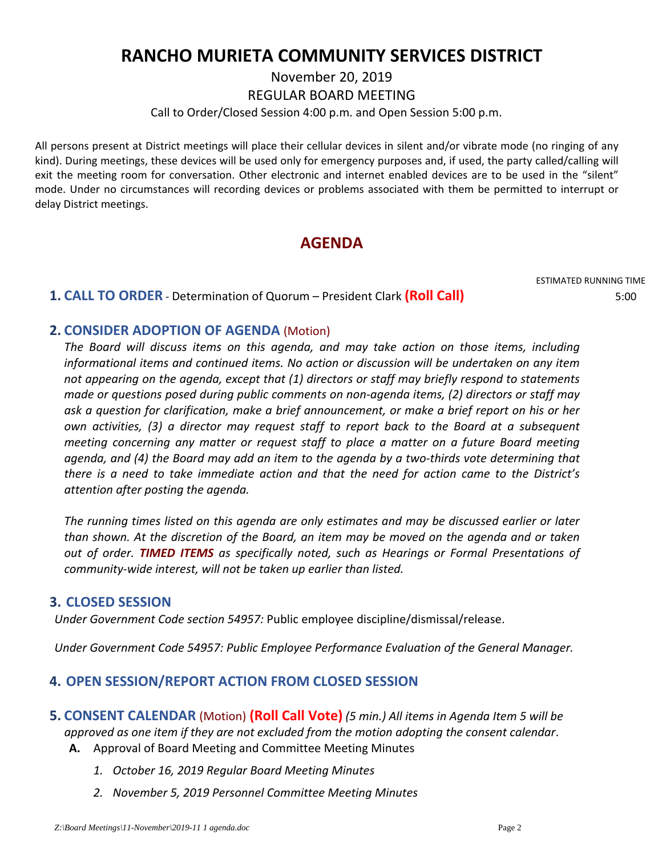# **RANCHO MURIETA COMMUNITY SERVICES DISTRICT**

November 20, 2019

REGULAR BOARD MEETING

Call to Order/Closed Session 4:00 p.m. and Open Session 5:00 p.m.

All persons present at District meetings will place their cellular devices in silent and/or vibrate mode (no ringing of any kind). During meetings, these devices will be used only for emergency purposes and, if used, the party called/calling will exit the meeting room for conversation. Other electronic and internet enabled devices are to be used in the "silent" mode. Under no circumstances will recording devices or problems associated with them be permitted to interrupt or delay District meetings.

# **AGENDA**

ESTIMATED RUNNING TIME

## **1. CALL TO ORDER** ‐ Determination of Quorum – President Clark **(Roll Call)** 5:00

## **2. CONSIDER ADOPTION OF AGENDA** (Motion)

*The Board will discuss items on this agenda, and may take action on those items, including informational items and continued items. No action or discussion will be undertaken on any item not appearing on the agenda, except that (1) directors or staff may briefly respond to statements made or questions posed during public comments on non‐agenda items, (2) directors or staff may ask a question for clarification, make a brief announcement, or make a brief report on his or her own activities, (3) a director may request staff to report back to the Board at a subsequent meeting concerning any matter or request staff to place a matter on a future Board meeting* agenda, and (4) the Board may add an item to the agenda by a two-thirds vote determining that *there is a need to take immediate action and that the need for action came to the District's attention after posting the agenda.*

*The running times listed on this agenda are only estimates and may be discussed earlier or later than shown. At the discretion of the Board, an item may be moved on the agenda and or taken out of order. TIMED ITEMS as specifically noted, such as Hearings or Formal Presentations of community‐wide interest, will not be taken up earlier than listed.*

#### **3. CLOSED SESSION**

*Under Government Code section 54957:* Public employee discipline/dismissal/release.

*Under Government Code 54957: Public Employee Performance Evaluation of the General Manager.*

## **4. OPEN SESSION/REPORT ACTION FROM CLOSED SESSION**

- **5. CONSENT CALENDAR** (Motion) **(Roll Call Vote)** *(5 min.) All items in Agenda Item 5 will be approved as one item if they are not excluded from the motion adopting the consent calendar*. **A.** Approval of Board Meeting and Committee Meeting Minutes
	- *1. October 16, 2019 Regular Board Meeting Minutes*
	- *2. November 5, 2019 Personnel Committee Meeting Minutes*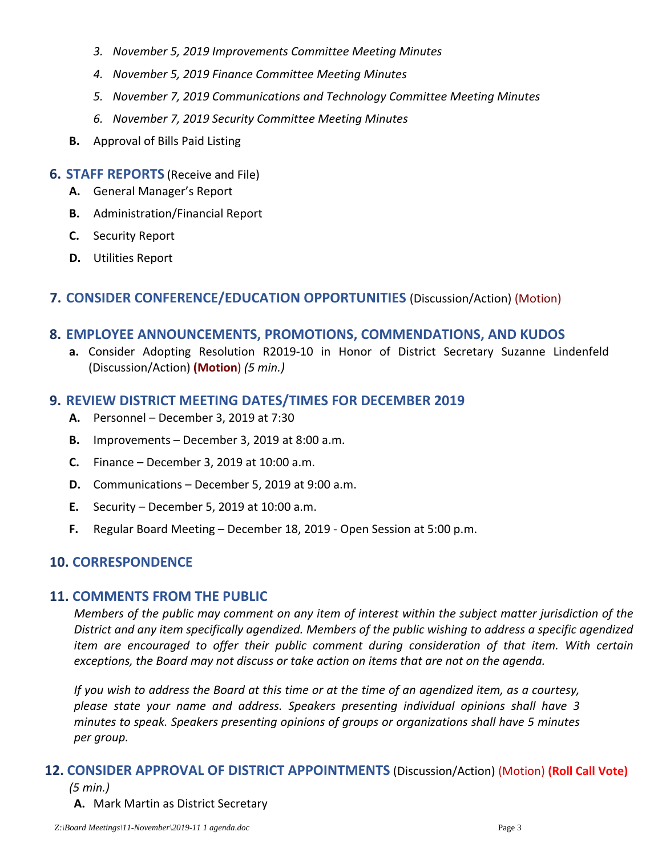- *3. November 5, 2019 Improvements Committee Meeting Minutes*
- *4. November 5, 2019 Finance Committee Meeting Minutes*
- *5. November 7, 2019 Communications and Technology Committee Meeting Minutes*
- *6. November 7, 2019 Security Committee Meeting Minutes*
- **B.** Approval of Bills Paid Listing

#### **6. STAFF REPORTS** (Receive and File)

- **A.** General Manager's Report
- **B.** Administration/Financial Report
- **C.** Security Report
- **D.** Utilities Report

#### **7. CONSIDER CONFERENCE/EDUCATION OPPORTUNITIES** (Discussion/Action) (Motion)

#### **8. EMPLOYEE ANNOUNCEMENTS, PROMOTIONS, COMMENDATIONS, AND KUDOS**

**a.** Consider Adopting Resolution R2019‐10 in Honor of District Secretary Suzanne Lindenfeld (Discussion/Action) **(Motion**) *(5 min.)*

#### **9. REVIEW DISTRICT MEETING DATES/TIMES FOR DECEMBER 2019**

- **A.** Personnel December 3, 2019 at 7:30
- **B.** Improvements December 3, 2019 at 8:00 a.m.
- **C.** Finance December 3, 2019 at 10:00 a.m.
- **D.** Communications December 5, 2019 at 9:00 a.m.
- **E.** Security December 5, 2019 at 10:00 a.m.
- **F.** Regular Board Meeting December 18, 2019 ‐ Open Session at 5:00 p.m.

## **10. CORRESPONDENCE**

#### **11. COMMENTS FROM THE PUBLIC**

Members of the public may comment on any item of interest within the subject matter jurisdiction of the *District and any item specifically agendized. Members of the public wishing to address a specific agendized item are encouraged to offer their public comment during consideration of that item. With certain exceptions, the Board may not discuss or take action on items that are not on the agenda.* 

If you wish to address the Board at this time or at the time of an agendized item, as a courtesy, *please state your name and address. Speakers presenting individual opinions shall have 3 minutes to speak. Speakers presenting opinions of groups or organizations shall have 5 minutes per group.*

#### **12. CONSIDER APPROVAL OF DISTRICT APPOINTMENTS** (Discussion/Action) (Motion) **(Roll Call Vote)** *(5 min.)*

#### **A.** Mark Martin as District Secretary